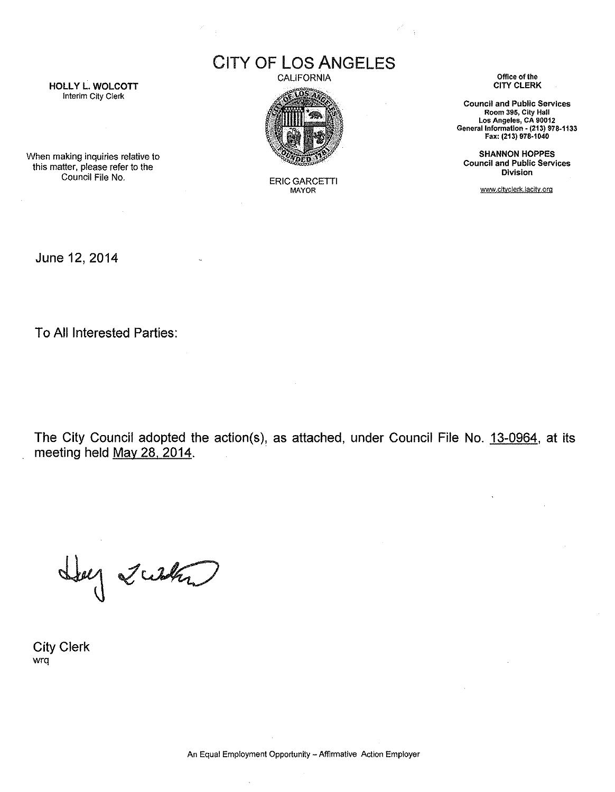HOLLY L. WOLCOTT Interim City Clerk

## CITY OF LOS ANGELES

CALIFORNIA



**ERIC GARCETTI** MAYOR

**Office of the** CITY CLERK

**Council and Public Services Room 395, City Hall Los Angeles, CA 90012 GenerallnformatJon - (213) 978-1133** Fax: (213) 978·1040

SHANNON HOPPES **Council and Public Services Division**

www.citvcierk.lacity.org

When making inquiries relative to this matter, please refer to the

June 12, 2014

To All Interested Parties:

The City Council adopted the action(s), as attached, under Council File No. 13-0964, at its meeting held May 28, 2014.

Hey Justa

City Clerk wrq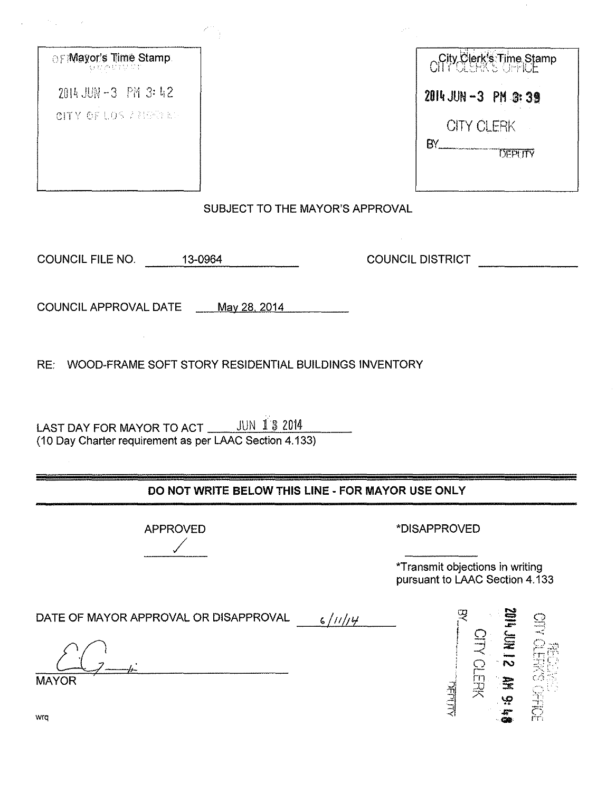| ⊖F Mayor's Time Stamp.<br>화 ¤ 관료 달 무 |        |
|--------------------------------------|--------|
| 2014 JUN-3 PM 3:42                   |        |
| CITY OF LOS FREETRE                  |        |
|                                      |        |
|                                      |        |
|                                      |        |
|                                      | SL.    |
|                                      |        |
| <b>COUNCIL FILE NO.</b>              | 13-096 |

| City Clerk's Time Stamp |
|-------------------------|
| 2014 JUN -3 PM 3:39     |
| <b>CITY CLERK</b><br>RΥ |
| <b>DEPUTY</b>           |
|                         |

**JBJECT TO THE MAYOR'S APPROVAL** 

Ι4

**COUNCIL DISTRICT** 

COUNCIL APPROVAL DATE May 28, 2014

RE: WOOD-FRAME SOFT STORY RESIDENTIAL BUILDINGS INVENTORY

LAST DAY FOR MAYOR TO ACT WILLET 3 2014 (10 Day Charter requirement as per LAAC Section 4.133)

## DO NOT WRITE BELOW THIS LINE - FOR MAYOR USE ONLY

**APPROVED** 

\*DISAPPROVED

\*Transmit objections in writing pursuant to LAAC Section 4.133

DATE OF MAYOR APPROVAL OR DISAPPROVAL  $6/11/14$ **CITY CLERK** JUN 12 MN 9:1 **RAHO SMEDIA MAYOR** <u>AFITIN</u>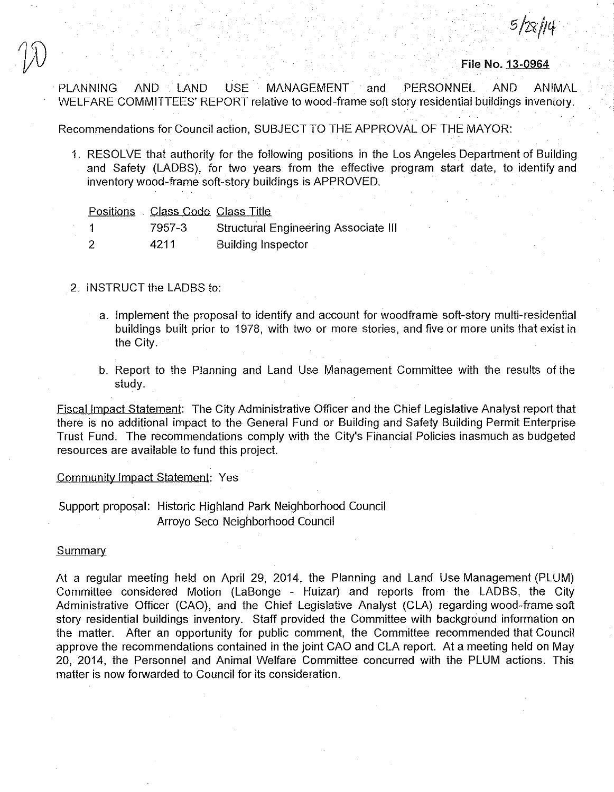*S/Z9,/N*

**File** No. 13-0964

PLANNING AND LAND USE MANAGEMENT and PERSONNEL AND ANIMAL WELFARE COMMITTEES' REPORT relative to wood-frame soft story residential buildings inventory.

Recommendations for Council action, SUBJECT TO THE APPROVAL OF THE MAYOR:

1. RESOLVE that authority for the following positions in the Los Angeles Department of Building and Safety (LADBS), for two years from the effective program start date, to identify and inventory wood-frame soft-story buildings is APPROVED.

|  | Positions Class Code Class Title |                                             |
|--|----------------------------------|---------------------------------------------|
|  | 7957-3                           | <b>Structural Engineering Associate III</b> |
|  | 4211                             | <b>Building Inspector</b>                   |

#### 2. INSTRUCT the LADBS to:

- a. Implement the proposal to identify and account for woodframe soft-story multi-residential buildings built prior to 1978, with two or more stories, and five or more units that exist in the City.
- b. Report to the Planning and Land Use Management Committee with the results of the study.

Fiscal Impact Statement: The City Administrative Officer and the Chief Legislative Analyst report that there is no additional impact to the General Fund or Building and Safety Building Permit Enterprise Trust Fund. The recommendations comply with the City's Financial Policies inasmuch as budgeted resources are available to fund this project.

Community Impact Statement: Yes

Support proposal: Historic Highland Park Neighborhood Council Arroyo Seco Neighborhood Council

#### **Summary**

At a regular meeting held on April 29, 2014, the Planning and Land Use Management (PLUM) Committee considered Motion (LaBonge - Huizar) and reports from the LADBS, the City Administrative Officer (CAO), and the Chief Legislative Analyst (CLA) regarding wood-frame soft story residential buildings inventory. Staff provided the Committee with background information on the matter. After an opportunity for public comment, the Committee recommended that Council approve the recommendations contained in the joint CAO and CLA report. At a meeting held on May 20, 2014, the Personnel and Animal Welfare Committee concurred with the PLUM actions. This matter is now forwarded to Council for its consideration.